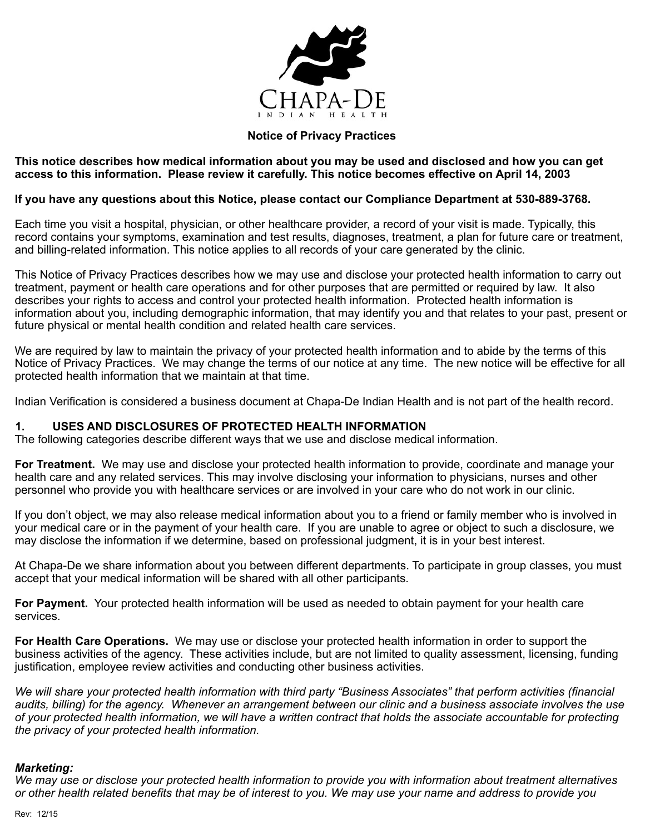

## **Notice of Privacy Practices**

#### **This notice describes how medical information about you may be used and disclosed and how you can get access to this information. Please review it carefully. This notice becomes effective on April 14, 2003**

### **If you have any questions about this Notice, please contact our Compliance Department at 530-889-3768.**

Each time you visit a hospital, physician, or other healthcare provider, a record of your visit is made. Typically, this record contains your symptoms, examination and test results, diagnoses, treatment, a plan for future care or treatment, and billing-related information. This notice applies to all records of your care generated by the clinic.

This Notice of Privacy Practices describes how we may use and disclose your protected health information to carry out treatment, payment or health care operations and for other purposes that are permitted or required by law. It also describes your rights to access and control your protected health information. Protected health information is information about you, including demographic information, that may identify you and that relates to your past, present or future physical or mental health condition and related health care services.

We are required by law to maintain the privacy of your protected health information and to abide by the terms of this Notice of Privacy Practices. We may change the terms of our notice at any time. The new notice will be effective for all protected health information that we maintain at that time.

Indian Verification is considered a business document at Chapa-De Indian Health and is not part of the health record.

# **1. USES AND DISCLOSURES OF PROTECTED HEALTH INFORMATION**

The following categories describe different ways that we use and disclose medical information.

**For Treatment.** We may use and disclose your protected health information to provide, coordinate and manage your health care and any related services. This may involve disclosing your information to physicians, nurses and other personnel who provide you with healthcare services or are involved in your care who do not work in our clinic.

If you don't object, we may also release medical information about you to a friend or family member who is involved in your medical care or in the payment of your health care. If you are unable to agree or object to such a disclosure, we may disclose the information if we determine, based on professional judgment, it is in your best interest.

At Chapa-De we share information about you between different departments. To participate in group classes, you must accept that your medical information will be shared with all other participants.

**For Payment.** Your protected health information will be used as needed to obtain payment for your health care services.

**For Health Care Operations.** We may use or disclose your protected health information in order to support the business activities of the agency. These activities include, but are not limited to quality assessment, licensing, funding justification, employee review activities and conducting other business activities.

*We will share your protected health information with third party "Business Associates" that perform activities (financial audits, billing) for the agency. Whenever an arrangement between our clinic and a business associate involves the use of your protected health information, we will have a written contract that holds the associate accountable for protecting the privacy of your protected health information.* 

#### *Marketing:*

*We may use or disclose your protected health information to provide you with information about treatment alternatives or other health related benefits that may be of interest to you. We may use your name and address to provide you*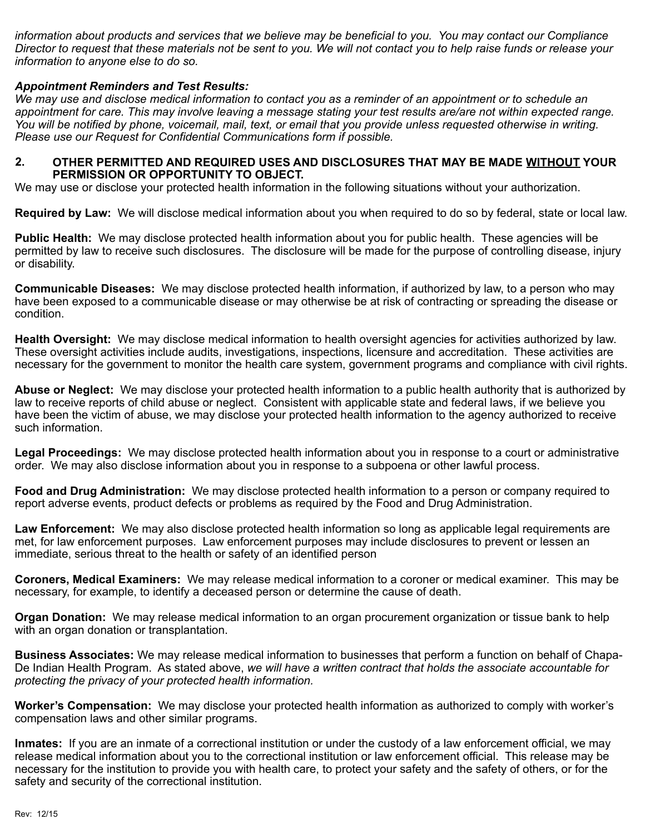*information about products and services that we believe may be beneficial to you. You may contact our Compliance Director to request that these materials not be sent to you. We will not contact you to help raise funds or release your information to anyone else to do so.* 

## *Appointment Reminders and Test Results:*

*We may use and disclose medical information to contact you as a reminder of an appointment or to schedule an appointment for care. This may involve leaving a message stating your test results are/are not within expected range. You will be notified by phone, voicemail, mail, text, or email that you provide unless requested otherwise in writing. Please use our Request for Confidential Communications form if possible.* 

#### **2. OTHER PERMITTED AND REQUIRED USES AND DISCLOSURES THAT MAY BE MADE WITHOUT YOUR PERMISSION OR OPPORTUNITY TO OBJECT.**

We may use or disclose your protected health information in the following situations without your authorization.

**Required by Law:** We will disclose medical information about you when required to do so by federal, state or local law.

**Public Health:** We may disclose protected health information about you for public health. These agencies will be permitted by law to receive such disclosures. The disclosure will be made for the purpose of controlling disease, injury or disability.

**Communicable Diseases:** We may disclose protected health information, if authorized by law, to a person who may have been exposed to a communicable disease or may otherwise be at risk of contracting or spreading the disease or condition.

**Health Oversight:** We may disclose medical information to health oversight agencies for activities authorized by law. These oversight activities include audits, investigations, inspections, licensure and accreditation. These activities are necessary for the government to monitor the health care system, government programs and compliance with civil rights.

**Abuse or Neglect:** We may disclose your protected health information to a public health authority that is authorized by law to receive reports of child abuse or neglect. Consistent with applicable state and federal laws, if we believe you have been the victim of abuse, we may disclose your protected health information to the agency authorized to receive such information.

**Legal Proceedings:** We may disclose protected health information about you in response to a court or administrative order. We may also disclose information about you in response to a subpoena or other lawful process.

**Food and Drug Administration:** We may disclose protected health information to a person or company required to report adverse events, product defects or problems as required by the Food and Drug Administration.

**Law Enforcement:** We may also disclose protected health information so long as applicable legal requirements are met, for law enforcement purposes. Law enforcement purposes may include disclosures to prevent or lessen an immediate, serious threat to the health or safety of an identified person

**Coroners, Medical Examiners:** We may release medical information to a coroner or medical examiner. This may be necessary, for example, to identify a deceased person or determine the cause of death.

**Organ Donation:** We may release medical information to an organ procurement organization or tissue bank to help with an organ donation or transplantation.

**Business Associates:** We may release medical information to businesses that perform a function on behalf of Chapa-De Indian Health Program. As stated above, *we will have a written contract that holds the associate accountable for protecting the privacy of your protected health information.* 

**Worker's Compensation:** We may disclose your protected health information as authorized to comply with worker's compensation laws and other similar programs.

**Inmates:** If you are an inmate of a correctional institution or under the custody of a law enforcement official, we may release medical information about you to the correctional institution or law enforcement official. This release may be necessary for the institution to provide you with health care, to protect your safety and the safety of others, or for the safety and security of the correctional institution.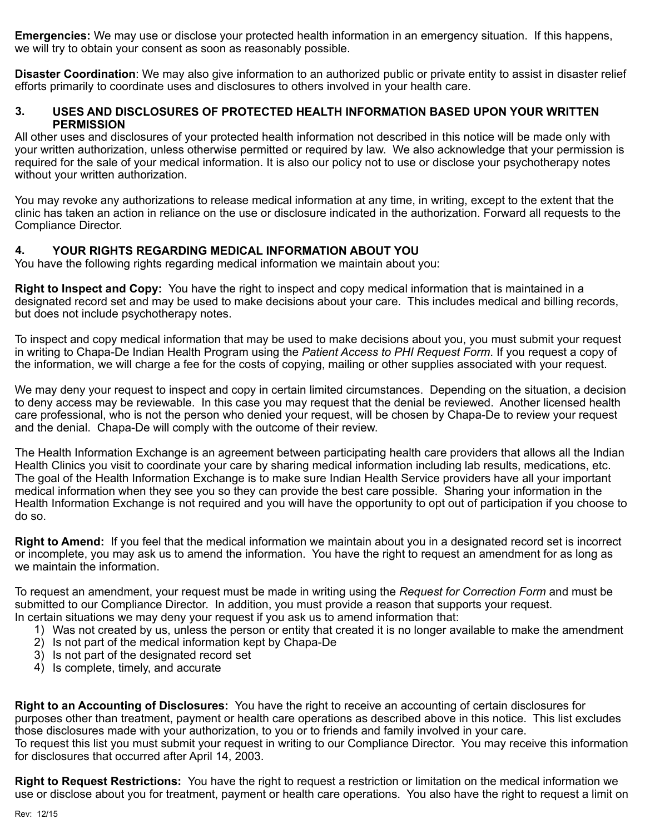**Emergencies:** We may use or disclose your protected health information in an emergency situation. If this happens, we will try to obtain your consent as soon as reasonably possible.

**Disaster Coordination**: We may also give information to an authorized public or private entity to assist in disaster relief efforts primarily to coordinate uses and disclosures to others involved in your health care.

### **3. USES AND DISCLOSURES OF PROTECTED HEALTH INFORMATION BASED UPON YOUR WRITTEN PERMISSION**

All other uses and disclosures of your protected health information not described in this notice will be made only with your written authorization, unless otherwise permitted or required by law. We also acknowledge that your permission is required for the sale of your medical information. It is also our policy not to use or disclose your psychotherapy notes without your written authorization.

You may revoke any authorizations to release medical information at any time, in writing, except to the extent that the clinic has taken an action in reliance on the use or disclosure indicated in the authorization. Forward all requests to the Compliance Director.

# **4. YOUR RIGHTS REGARDING MEDICAL INFORMATION ABOUT YOU**

You have the following rights regarding medical information we maintain about you:

**Right to Inspect and Copy:** You have the right to inspect and copy medical information that is maintained in a designated record set and may be used to make decisions about your care. This includes medical and billing records, but does not include psychotherapy notes.

To inspect and copy medical information that may be used to make decisions about you, you must submit your request in writing to Chapa-De Indian Health Program using the *Patient Access to PHI Request Form*. If you request a copy of the information, we will charge a fee for the costs of copying, mailing or other supplies associated with your request.

We may deny your request to inspect and copy in certain limited circumstances. Depending on the situation, a decision to deny access may be reviewable. In this case you may request that the denial be reviewed. Another licensed health care professional, who is not the person who denied your request, will be chosen by Chapa-De to review your request and the denial. Chapa-De will comply with the outcome of their review.

The Health Information Exchange is an agreement between participating health care providers that allows all the Indian Health Clinics you visit to coordinate your care by sharing medical information including lab results, medications, etc. The goal of the Health Information Exchange is to make sure Indian Health Service providers have all your important medical information when they see you so they can provide the best care possible. Sharing your information in the Health Information Exchange is not required and you will have the opportunity to opt out of participation if you choose to do so.

**Right to Amend:** If you feel that the medical information we maintain about you in a designated record set is incorrect or incomplete, you may ask us to amend the information. You have the right to request an amendment for as long as we maintain the information.

To request an amendment, your request must be made in writing using the *Request for Correction Form* and must be submitted to our Compliance Director. In addition, you must provide a reason that supports your request. In certain situations we may deny your request if you ask us to amend information that:

- 1) Was not created by us, unless the person or entity that created it is no longer available to make the amendment
- 2) Is not part of the medical information kept by Chapa-De
- 3) Is not part of the designated record set
- 4) Is complete, timely, and accurate

**Right to an Accounting of Disclosures:** You have the right to receive an accounting of certain disclosures for purposes other than treatment, payment or health care operations as described above in this notice. This list excludes those disclosures made with your authorization, to you or to friends and family involved in your care. To request this list you must submit your request in writing to our Compliance Director. You may receive this information for disclosures that occurred after April 14, 2003.

**Right to Request Restrictions:** You have the right to request a restriction or limitation on the medical information we use or disclose about you for treatment, payment or health care operations. You also have the right to request a limit on